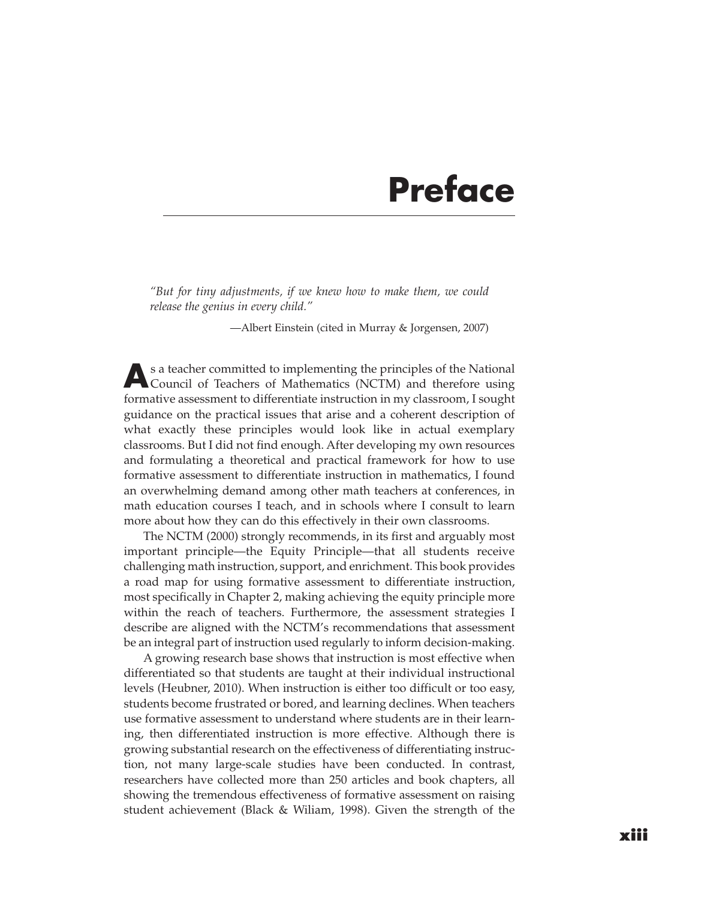## **Preface**

*"But for tiny adjustments, if we knew how to make them, we could release the genius in every child."*

—Albert Einstein (cited in Murray & Jorgensen, 2007)

**A**s a teacher committed to implementing the principles of the National Council of Teachers of Mathematics (NCTM) and therefore using formative assessment to differentiate instruction in my classroom, I sought guidance on the practical issues that arise and a coherent description of what exactly these principles would look like in actual exemplary classrooms. But I did not find enough. After developing my own resources and formulating a theoretical and practical framework for how to use formative assessment to differentiate instruction in mathematics, I found an overwhelming demand among other math teachers at conferences, in math education courses I teach, and in schools where I consult to learn more about how they can do this effectively in their own classrooms.

The NCTM (2000) strongly recommends, in its first and arguably most important principle—the Equity Principle—that all students receive challenging math instruction, support, and enrichment. This book provides a road map for using formative assessment to differentiate instruction, most specifically in Chapter 2, making achieving the equity principle more within the reach of teachers. Furthermore, the assessment strategies I describe are aligned with the NCTM's recommendations that assessment be an integral part of instruction used regularly to inform decision-making.

A growing research base shows that instruction is most effective when differentiated so that students are taught at their individual instructional levels (Heubner, 2010). When instruction is either too difficult or too easy, students become frustrated or bored, and learning declines. When teachers use formative assessment to understand where students are in their learning, then differentiated instruction is more effective. Although there is growing substantial research on the effectiveness of differentiating instruction, not many large-scale studies have been conducted. In contrast, researchers have collected more than 250 articles and book chapters, all showing the tremendous effectiveness of formative assessment on raising student achievement (Black & Wiliam, 1998). Given the strength of the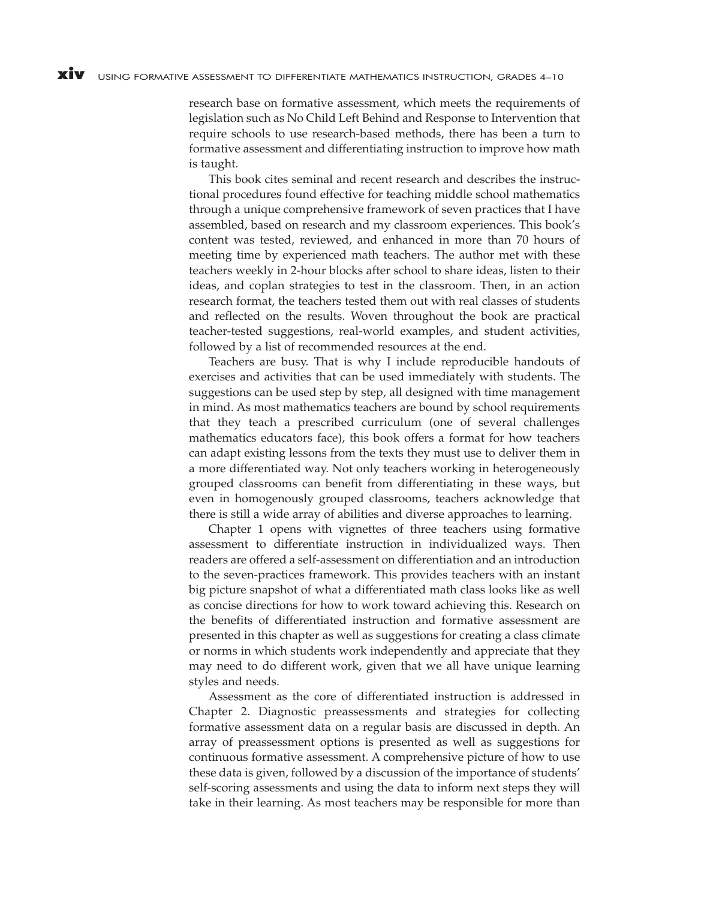research base on formative assessment, which meets the requirements of legislation such as No Child Left Behind and Response to Intervention that require schools to use research-based methods, there has been a turn to formative assessment and differentiating instruction to improve how math is taught.

This book cites seminal and recent research and describes the instructional procedures found effective for teaching middle school mathematics through a unique comprehensive framework of seven practices that I have assembled, based on research and my classroom experiences. This book's content was tested, reviewed, and enhanced in more than 70 hours of meeting time by experienced math teachers. The author met with these teachers weekly in 2-hour blocks after school to share ideas, listen to their ideas, and coplan strategies to test in the classroom. Then, in an action research format, the teachers tested them out with real classes of students and reflected on the results. Woven throughout the book are practical teacher-tested suggestions, real-world examples, and student activities, followed by a list of recommended resources at the end.

Teachers are busy. That is why I include reproducible handouts of exercises and activities that can be used immediately with students. The suggestions can be used step by step, all designed with time management in mind. As most mathematics teachers are bound by school requirements that they teach a prescribed curriculum (one of several challenges mathematics educators face), this book offers a format for how teachers can adapt existing lessons from the texts they must use to deliver them in a more differentiated way. Not only teachers working in heterogeneously grouped classrooms can benefit from differentiating in these ways, but even in homogenously grouped classrooms, teachers acknowledge that there is still a wide array of abilities and diverse approaches to learning.

Chapter 1 opens with vignettes of three teachers using formative assessment to differentiate instruction in individualized ways. Then readers are offered a self-assessment on differentiation and an introduction to the seven-practices framework. This provides teachers with an instant big picture snapshot of what a differentiated math class looks like as well as concise directions for how to work toward achieving this. Research on the benefits of differentiated instruction and formative assessment are presented in this chapter as well as suggestions for creating a class climate or norms in which students work independently and appreciate that they may need to do different work, given that we all have unique learning styles and needs.

Assessment as the core of differentiated instruction is addressed in Chapter 2. Diagnostic preassessments and strategies for collecting formative assessment data on a regular basis are discussed in depth. An array of preassessment options is presented as well as suggestions for continuous formative assessment. A comprehensive picture of how to use these data is given, followed by a discussion of the importance of students' self-scoring assessments and using the data to inform next steps they will take in their learning. As most teachers may be responsible for more than